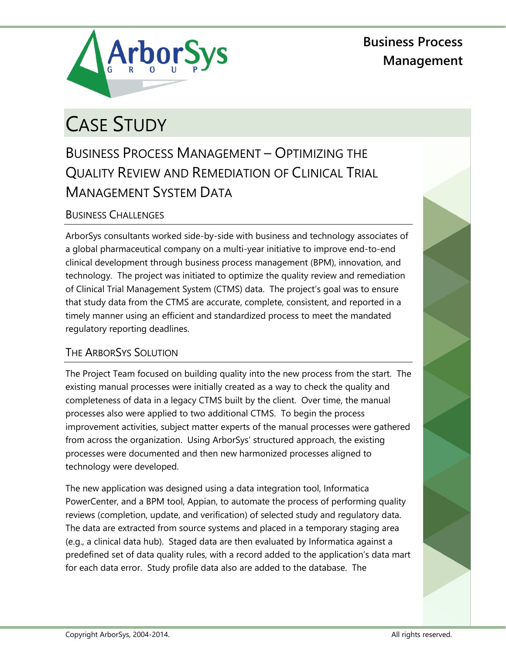**Business Process Management**



# CASE STUDY

## BUSINESS PROCESS MANAGEMENT – OPTIMIZING THE QUALITY REVIEW AND REMEDIATION OF CLINICAL TRIAL MANAGEMENT SYSTEM DATA

### BUSINESS CHALLENGES

ArborSys consultants worked side-by-side with business and technology associates of a global pharmaceutical company on a multi-year initiative to improve end-to-end clinical development through business process management (BPM), innovation, and technology. The project was initiated to optimize the quality review and remediation of Clinical Trial Management System (CTMS) data. The project's goal was to ensure that study data from the CTMS are accurate, complete, consistent, and reported in a timely manner using an efficient and standardized process to meet the mandated regulatory reporting deadlines.

#### THE ARBORSYS SOLUTION

The Project Team focused on building quality into the new process from the start. The existing manual processes were initially created as a way to check the quality and completeness of data in a legacy CTMS built by the client. Over time, the manual processes also were applied to two additional CTMS. To begin the process improvement activities, subject matter experts of the manual processes were gathered from across the organization. Using ArborSys' structured approach, the existing processes were documented and then new harmonized processes aligned to technology were developed.

The new application was designed using a data integration tool, Informatica PowerCenter, and a BPM tool, Appian, to automate the process of performing quality reviews (completion, update, and verification) of selected study and regulatory data. The data are extracted from source systems and placed in a temporary staging area (e.g., a clinical data hub). Staged data are then evaluated by Informatica against a predefined set of data quality rules, with a record added to the application's data mart for each data error. Study profile data also are added to the database. The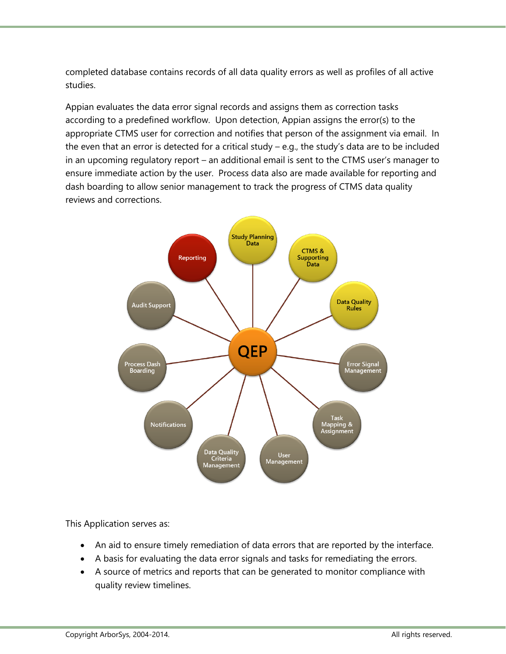completed database contains records of all data quality errors as well as profiles of all active studies.

Appian evaluates the data error signal records and assigns them as correction tasks according to a predefined workflow. Upon detection, Appian assigns the error(s) to the appropriate CTMS user for correction and notifies that person of the assignment via email. In the even that an error is detected for a critical study – e.g., the study's data are to be included in an upcoming regulatory report – an additional email is sent to the CTMS user's manager to ensure immediate action by the user. Process data also are made available for reporting and dash boarding to allow senior management to track the progress of CTMS data quality reviews and corrections.



This Application serves as:

- An aid to ensure timely remediation of data errors that are reported by the interface.
- A basis for evaluating the data error signals and tasks for remediating the errors.
- A source of metrics and reports that can be generated to monitor compliance with quality review timelines.